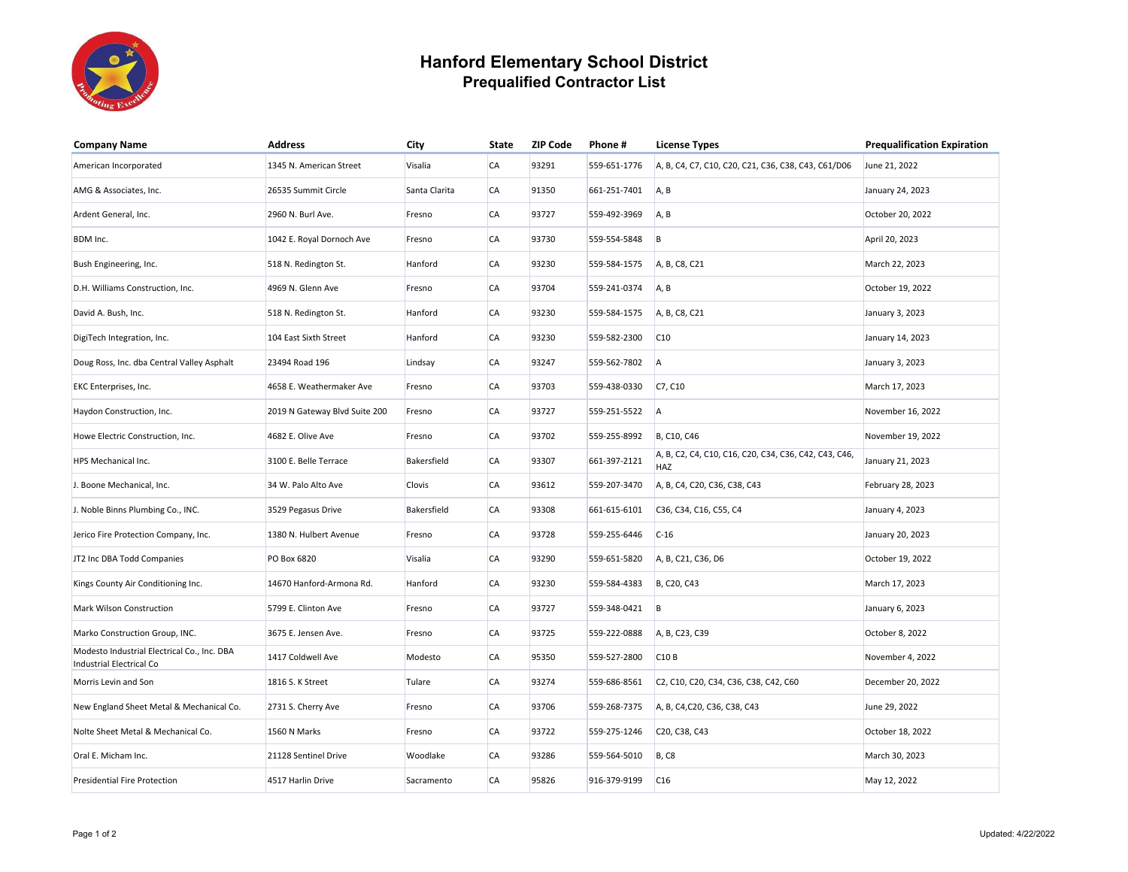

## **Hanford Elementary School District Prequalified Contractor List**

| <b>Company Name</b>                                                            | <b>Address</b>                | City          | <b>State</b> | <b>ZIP Code</b> | Phone#       | <b>License Types</b>                                         | <b>Prequalification Expiration</b> |
|--------------------------------------------------------------------------------|-------------------------------|---------------|--------------|-----------------|--------------|--------------------------------------------------------------|------------------------------------|
| American Incorporated                                                          | 1345 N. American Street       | Visalia       | <b>CA</b>    | 93291           | 559-651-1776 | A, B, C4, C7, C10, C20, C21, C36, C38, C43, C61/D06          | June 21, 2022                      |
| AMG & Associates, Inc.                                                         | 26535 Summit Circle           | Santa Clarita | <b>CA</b>    | 91350           | 661-251-7401 | A, B                                                         | January 24, 2023                   |
| Ardent General, Inc.                                                           | 2960 N. Burl Ave.             | Fresno        | <b>CA</b>    | 93727           | 559-492-3969 | A, B                                                         | October 20, 2022                   |
| BDM Inc.                                                                       | 1042 E. Royal Dornoch Ave     | Fresno        | <b>CA</b>    | 93730           | 559-554-5848 | B                                                            | April 20, 2023                     |
| Bush Engineering, Inc.                                                         | 518 N. Redington St.          | Hanford       | <b>CA</b>    | 93230           | 559-584-1575 | A, B, C8, C21                                                | March 22, 2023                     |
| D.H. Williams Construction, Inc.                                               | 4969 N. Glenn Ave             | Fresno        | <b>CA</b>    | 93704           | 559-241-0374 | A, B                                                         | October 19, 2022                   |
| David A. Bush, Inc.                                                            | 518 N. Redington St.          | Hanford       | CA           | 93230           | 559-584-1575 | A, B, C8, C21                                                | January 3, 2023                    |
| DigiTech Integration, Inc.                                                     | 104 East Sixth Street         | Hanford       | CA           | 93230           | 559-582-2300 | C10                                                          | January 14, 2023                   |
| Doug Ross, Inc. dba Central Valley Asphalt                                     | 23494 Road 196                | Lindsay       | <b>CA</b>    | 93247           | 559-562-7802 | A                                                            | January 3, 2023                    |
| EKC Enterprises, Inc.                                                          | 4658 E. Weathermaker Ave      | Fresno        | <b>CA</b>    | 93703           | 559-438-0330 | C7, C10                                                      | March 17, 2023                     |
| Haydon Construction, Inc.                                                      | 2019 N Gateway Blvd Suite 200 | Fresno        | <b>CA</b>    | 93727           | 559-251-5522 | A                                                            | November 16, 2022                  |
| Howe Electric Construction, Inc.                                               | 4682 E. Olive Ave             | Fresno        | <b>CA</b>    | 93702           | 559-255-8992 | B, C10, C46                                                  | November 19, 2022                  |
| HPS Mechanical Inc.                                                            | 3100 E. Belle Terrace         | Bakersfield   | <b>CA</b>    | 93307           | 661-397-2121 | A, B, C2, C4, C10, C16, C20, C34, C36, C42, C43, C46,<br>HAZ | January 21, 2023                   |
| J. Boone Mechanical, Inc.                                                      | 34 W. Palo Alto Ave           | Clovis        | <b>CA</b>    | 93612           | 559-207-3470 | A, B, C4, C20, C36, C38, C43                                 | February 28, 2023                  |
| J. Noble Binns Plumbing Co., INC.                                              | 3529 Pegasus Drive            | Bakersfield   | <b>CA</b>    | 93308           | 661-615-6101 | C36, C34, C16, C55, C4                                       | January 4, 2023                    |
| Jerico Fire Protection Company, Inc.                                           | 1380 N. Hulbert Avenue        | Fresno        | <b>CA</b>    | 93728           | 559-255-6446 | $C-16$                                                       | January 20, 2023                   |
| JT2 Inc DBA Todd Companies                                                     | PO Box 6820                   | Visalia       | <b>CA</b>    | 93290           | 559-651-5820 | A, B, C21, C36, D6                                           | October 19, 2022                   |
| Kings County Air Conditioning Inc.                                             | 14670 Hanford-Armona Rd.      | Hanford       | <b>CA</b>    | 93230           | 559-584-4383 | B, C20, C43                                                  | March 17, 2023                     |
| Mark Wilson Construction                                                       | 5799 E. Clinton Ave           | Fresno        | CA           | 93727           | 559-348-0421 | B                                                            | January 6, 2023                    |
| Marko Construction Group, INC.                                                 | 3675 E. Jensen Ave.           | Fresno        | CA           | 93725           | 559-222-0888 | A, B, C23, C39                                               | October 8, 2022                    |
| Modesto Industrial Electrical Co., Inc. DBA<br><b>Industrial Electrical Co</b> | 1417 Coldwell Ave             | Modesto       | <b>CA</b>    | 95350           | 559-527-2800 | C <sub>10</sub> B                                            | November 4, 2022                   |
| Morris Levin and Son                                                           | 1816 S. K Street              | Tulare        | <b>CA</b>    | 93274           | 559-686-8561 | C2, C10, C20, C34, C36, C38, C42, C60                        | December 20, 2022                  |
| New England Sheet Metal & Mechanical Co.                                       | 2731 S. Cherry Ave            | Fresno        | <b>CA</b>    | 93706           | 559-268-7375 | A, B, C4, C20, C36, C38, C43                                 | June 29, 2022                      |
| Nolte Sheet Metal & Mechanical Co.                                             | 1560 N Marks                  | Fresno        | <b>CA</b>    | 93722           | 559-275-1246 | C20, C38, C43                                                | October 18, 2022                   |
| Oral E. Micham Inc.                                                            | 21128 Sentinel Drive          | Woodlake      | <b>CA</b>    | 93286           | 559-564-5010 | <b>B, C8</b>                                                 | March 30, 2023                     |
| Presidential Fire Protection                                                   | 4517 Harlin Drive             | Sacramento    | <b>CA</b>    | 95826           | 916-379-9199 | C16                                                          | May 12, 2022                       |